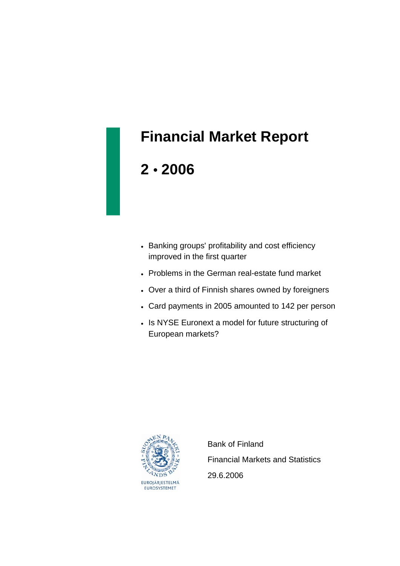# **Financial Market Report**

## **2** • **2006**

- Banking groups' profitability and cost efficiency improved in the first quarter
- Problems in the German real-estate fund market
- Over a third of Finnish shares owned by foreigners
- Card payments in 2005 amounted to 142 per person
- Is NYSE Euronext a model for future structuring of European markets?



 Bank of Finland Financial Markets and Statistics 29.6.2006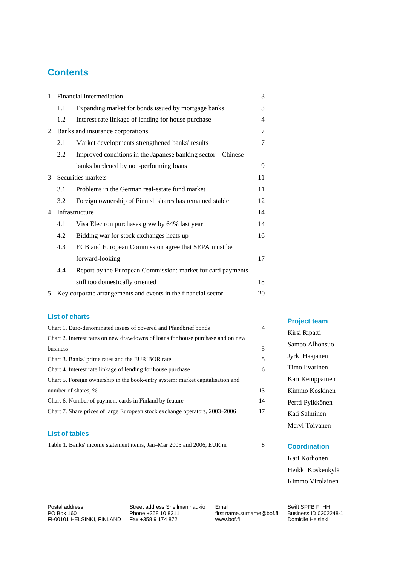## **Contents**

| $\mathbf{1}$ | 3<br>Financial intermediation |                                                               |                |
|--------------|-------------------------------|---------------------------------------------------------------|----------------|
|              | 1.1                           | Expanding market for bonds issued by mortgage banks           | 3              |
|              | 1.2                           | Interest rate linkage of lending for house purchase           | $\overline{4}$ |
| 2            |                               | Banks and insurance corporations                              | 7              |
|              | 2.1                           | Market developments strengthened banks' results               | 7              |
|              | 2.2                           | Improved conditions in the Japanese banking sector – Chinese  |                |
|              |                               | banks burdened by non-performing loans                        | 9              |
| 3            |                               | Securities markets                                            | 11             |
|              | 3.1                           | Problems in the German real-estate fund market                | 11             |
|              | 3.2                           | Foreign ownership of Finnish shares has remained stable       | 12             |
| 4            |                               | Infrastructure                                                | 14             |
|              | 4.1                           | Visa Electron purchases grew by 64% last year                 | 14             |
|              | 4.2                           | Bidding war for stock exchanges heats up                      | 16             |
|              | 4.3                           | ECB and European Commission agree that SEPA must be           |                |
|              |                               | forward-looking                                               | 17             |
|              | 4.4                           | Report by the European Commission: market for card payments   |                |
|              |                               | still too domestically oriented                               | 18             |
| 5            |                               | Key corporate arrangements and events in the financial sector | 20             |

#### **List of charts**

| Chart 1. Euro-denominated issues of covered and Pfandbrief bonds                | $\overline{4}$ |                  |
|---------------------------------------------------------------------------------|----------------|------------------|
| Chart 2. Interest rates on new drawdowns of loans for house purchase and on new |                | Kirsi Ripatti    |
| business                                                                        | 5              | Sampo Alhonsuo   |
| Chart 3. Banks' prime rates and the EURIBOR rate                                | 5              | Jyrki Haajanen   |
| Chart 4. Interest rate linkage of lending for house purchase                    | 6              | Timo Iivarinen   |
| Chart 5. Foreign ownership in the book-entry system: market capitalisation and  |                | Kari Kemppaine   |
| number of shares, %                                                             | 13             | Kimmo Koskine    |
| Chart 6. Number of payment cards in Finland by feature                          | 14             | Pertti Pylkkönen |
| Chart 7. Share prices of large European stock exchange operators, 2003–2006     | 17             | Kati Salminen    |
|                                                                                 |                | Mervi Toivanen   |
|                                                                                 |                |                  |

#### **List of tables**

| Table 1. Banks' income statement items. Jan–Mar 2005 and 2006. EUR m |  |
|----------------------------------------------------------------------|--|
|----------------------------------------------------------------------|--|

**Project team**  si Ripatti npo Alhonsuo

| Jyrki Haajanen   |
|------------------|
| Timo Iivarinen   |
| Kari Kemppainen  |
| Kimmo Koskinen   |
| Pertti Pylkkönen |
| Kati Salminen    |

#### **Coordination**

Kari Korhonen Heikki Koskenkylä Kimmo Virolainen

Postal address Street address Snellmaninaukio Email Swift SPFB FI HH<br>PO Box 160 Phone +358 10 8311 first name.surname@bof.fi Business ID 0202248-1  $F = 56$ ,  $F = 100101$  HELSINKI, FINLAND Fax +358 9 174 872

First name.surname@bof.fi Business ID 02021<br>www.bof.fi Domicile Helsinki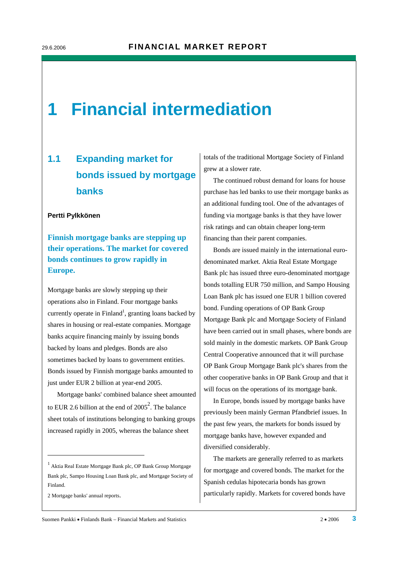## **1 Financial intermediation**

## **1.1 Expanding market for bonds issued by mortgage banks**

#### **Pertti Pylkkönen**

**Finnish mortgage banks are stepping up their operations. The market for covered bonds continues to grow rapidly in Europe.** 

Mortgage banks are slowly stepping up their operations also in Finland. Four mortgage banks currently operate in  $Find and <sup>1</sup>$ , granting loans backed by shares in housing or real-estate companies. Mortgage banks acquire financing mainly by issuing bonds backed by loans and pledges. Bonds are also sometimes backed by loans to government entities. Bonds issued by Finnish mortgage banks amounted to just under EUR 2 billion at year-end 2005.

Mortgage banks' combined balance sheet amounted to EUR 2.6 billion at the end of  $2005^2$ . The balance sheet totals of institutions belonging to banking groups increased rapidly in 2005, whereas the balance sheet

2 Mortgage banks' annual reports.

-

totals of the traditional Mortgage Society of Finland grew at a slower rate.

The continued robust demand for loans for house purchase has led banks to use their mortgage banks as an additional funding tool. One of the advantages of funding via mortgage banks is that they have lower risk ratings and can obtain cheaper long-term financing than their parent companies.

Bonds are issued mainly in the international eurodenominated market. Aktia Real Estate Mortgage Bank plc has issued three euro-denominated mortgage bonds totalling EUR 750 million, and Sampo Housing Loan Bank plc has issued one EUR 1 billion covered bond. Funding operations of OP Bank Group Mortgage Bank plc and Mortgage Society of Finland have been carried out in small phases, where bonds are sold mainly in the domestic markets. OP Bank Group Central Cooperative announced that it will purchase OP Bank Group Mortgage Bank plc's shares from the other cooperative banks in OP Bank Group and that it will focus on the operations of its mortgage bank.

In Europe, bonds issued by mortgage banks have previously been mainly German Pfandbrief issues. In the past few years, the markets for bonds issued by mortgage banks have, however expanded and diversified considerably.

The markets are generally referred to as markets for mortgage and covered bonds. The market for the Spanish cedulas hipotecaria bonds has grown particularly rapidly. Markets for covered bonds have

<sup>1</sup> Aktia Real Estate Mortgage Bank plc, OP Bank Group Mortgage Bank plc, Sampo Housing Loan Bank plc, and Mortgage Society of Finland.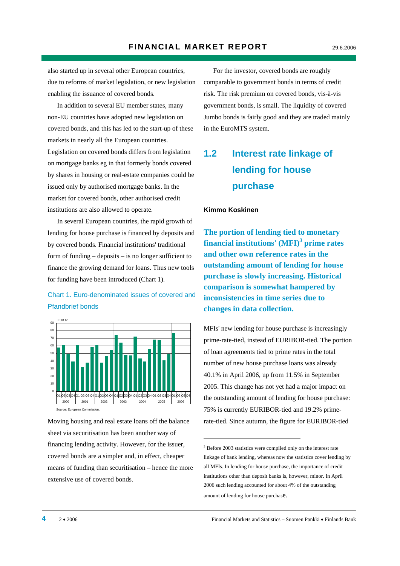also started up in several other European countries, due to reforms of market legislation, or new legislation enabling the issuance of covered bonds.

In addition to several EU member states, many non-EU countries have adopted new legislation on covered bonds, and this has led to the start-up of these markets in nearly all the European countries. Legislation on covered bonds differs from legislation on mortgage banks eg in that formerly bonds covered by shares in housing or real-estate companies could be issued only by authorised mortgage banks. In the market for covered bonds, other authorised credit institutions are also allowed to operate.

In several European countries, the rapid growth of lending for house purchase is financed by deposits and by covered bonds. Financial institutions' traditional form of funding – deposits – is no longer sufficient to finance the growing demand for loans. Thus new tools for funding have been introduced (Chart 1).

#### Chart 1. Euro-denominated issues of covered and Pfandbrief bonds



Moving housing and real estate loans off the balance sheet via securitisation has been another way of financing lending activity. However, for the issuer, covered bonds are a simpler and, in effect, cheaper means of funding than securitisation – hence the more extensive use of covered bonds.

For the investor, covered bonds are roughly comparable to government bonds in terms of credit risk. The risk premium on covered bonds, vis-à-vis government bonds, is small. The liquidity of covered Jumbo bonds is fairly good and they are traded mainly in the EuroMTS system.

## **1.2 Interest rate linkage of lending for house purchase**

#### **Kimmo Koskinen**

1

**The portion of lending tied to monetary financial institutions' (MFI)3 prime rates and other own reference rates in the outstanding amount of lending for house purchase is slowly increasing. Historical comparison is somewhat hampered by inconsistencies in time series due to changes in data collection.** 

MFIs' new lending for house purchase is increasingly prime-rate-tied, instead of EURIBOR-tied. The portion of loan agreements tied to prime rates in the total number of new house purchase loans was already 40.1% in April 2006, up from 11.5% in September 2005. This change has not yet had a major impact on the outstanding amount of lending for house purchase: 75% is currently EURIBOR-tied and 19.2% primerate-tied. Since autumn, the figure for EURIBOR-tied

<sup>&</sup>lt;sup>3</sup> Before 2003 statistics were compiled only on the interest rate linkage of bank lending, whereas now the statistics cover lending by all MFIs. In lending for house purchase, the importance of credit institutions other than deposit banks is, however, minor. In April 2006 such lending accounted for about 4% of the outstanding amount of lending for house purchase.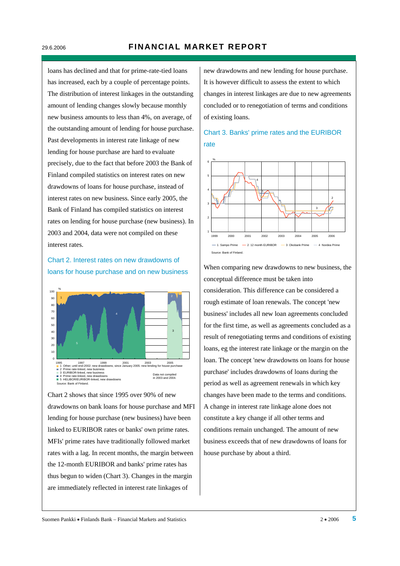loans has declined and that for prime-rate-tied loans has increased, each by a couple of percentage points. The distribution of interest linkages in the outstanding amount of lending changes slowly because monthly new business amounts to less than 4%, on average, of the outstanding amount of lending for house purchase. Past developments in interest rate linkage of new lending for house purchase are hard to evaluate precisely, due to the fact that before 2003 the Bank of Finland compiled statistics on interest rates on new drawdowns of loans for house purchase, instead of interest rates on new business. Since early 2005, the Bank of Finland has compiled statistics on interest rates on lending for house purchase (new business). In 2003 and 2004, data were not compiled on these interest rates.

#### Chart 2. Interest rates on new drawdowns of loans for house purchase and on new business



Chart 2 shows that since 1995 over 90% of new drawdowns on bank loans for house purchase and MFI lending for house purchase (new business) have been linked to EURIBOR rates or banks' own prime rates. MFIs' prime rates have traditionally followed market rates with a lag. In recent months, the margin between the 12-month EURIBOR and banks' prime rates has thus begun to widen (Chart 3). Changes in the margin are immediately reflected in interest rate linkages of

new drawdowns and new lending for house purchase. It is however difficult to assess the extent to which changes in interest linkages are due to new agreements concluded or to renegotiation of terms and conditions of existing loans.

#### Chart 3. Banks' prime rates and the EURIBOR rate



When comparing new drawdowns to new business, the conceptual difference must be taken into consideration. This difference can be considered a rough estimate of loan renewals. The concept 'new business' includes all new loan agreements concluded for the first time, as well as agreements concluded as a result of renegotiating terms and conditions of existing loans, eg the interest rate linkage or the margin on the loan. The concept 'new drawdowns on loans for house purchase' includes drawdowns of loans during the period as well as agreement renewals in which key changes have been made to the terms and conditions. A change in interest rate linkage alone does not constitute a key change if all other terms and conditions remain unchanged. The amount of new business exceeds that of new drawdowns of loans for house purchase by about a third.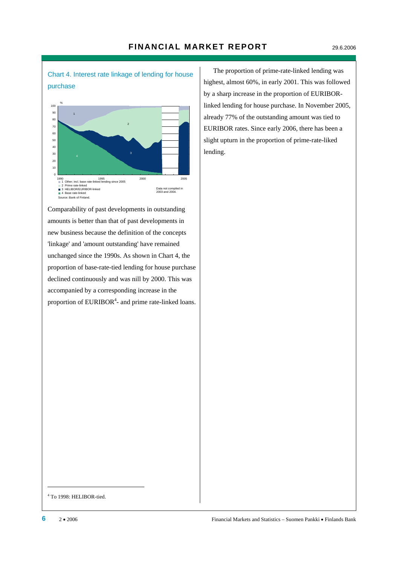Chart 4. Interest rate linkage of lending for house purchase



Comparability of past developments in outstanding amounts is better than that of past developments in new business because the definition of the concepts 'linkage' and 'amount outstanding' have remained unchanged since the 1990s. As shown in Chart 4, the proportion of base-rate-tied lending for house purchase declined continuously and was nill by 2000. This was accompanied by a corresponding increase in the proportion of  $EURIBOR<sup>4</sup>$  and prime rate-linked loans.

The proportion of prime-rate-linked lending was highest, almost 60%, in early 2001. This was followed by a sharp increase in the proportion of EURIBORlinked lending for house purchase. In November 2005, already 77% of the outstanding amount was tied to EURIBOR rates. Since early 2006, there has been a slight upturn in the proportion of prime-rate-liked lending.

4 To 1998: HELIBOR-tied.

-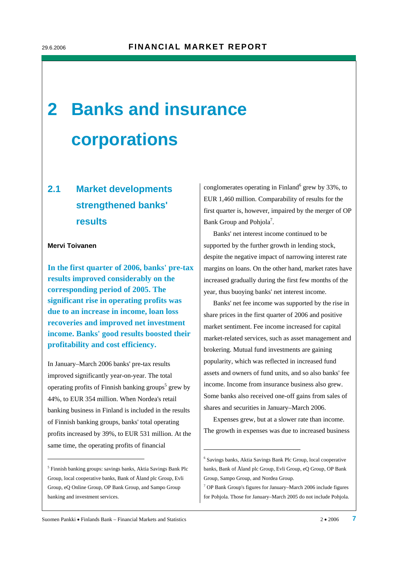# **2 Banks and insurance corporations**

## **2.1 Market developments strengthened banks' results**

#### **Mervi Toivanen**

-

**In the first quarter of 2006, banks' pre-tax results improved considerably on the corresponding period of 2005. The significant rise in operating profits was due to an increase in income, loan loss recoveries and improved net investment income. Banks' good results boosted their profitability and cost efficiency.** 

In January–March 2006 banks' pre-tax results improved significantly year-on-year. The total operating profits of Finnish banking groups<sup>5</sup> grew by 44%, to EUR 354 million. When Nordea's retail banking business in Finland is included in the results of Finnish banking groups, banks' total operating profits increased by 39%, to EUR 531 million. At the same time, the operating profits of financial

conglomerates operating in Finland<sup>6</sup> grew by 33%, to EUR 1,460 million. Comparability of results for the first quarter is, however, impaired by the merger of OP Bank Group and Pohjola<sup>7</sup>.

Banks' net interest income continued to be supported by the further growth in lending stock, despite the negative impact of narrowing interest rate margins on loans. On the other hand, market rates have increased gradually during the first few months of the year, thus buoying banks' net interest income.

Banks' net fee income was supported by the rise in share prices in the first quarter of 2006 and positive market sentiment. Fee income increased for capital market-related services, such as asset management and brokering. Mutual fund investments are gaining popularity, which was reflected in increased fund assets and owners of fund units, and so also banks' fee income. Income from insurance business also grew. Some banks also received one-off gains from sales of shares and securities in January–March 2006.

Expenses grew, but at a slower rate than income. The growth in expenses was due to increased business

1

<sup>5</sup> Finnish banking groups: savings banks, Aktia Savings Bank Plc Group, local cooperative banks, Bank of Åland plc Group, Evli Group, eQ Online Group, OP Bank Group, and Sampo Group banking and investment services.

<sup>6</sup> Savings banks, Aktia Savings Bank Plc Group, local cooperative banks, Bank of Åland plc Group, Evli Group, eQ Group, OP Bank Group, Sampo Group, and Nordea Group.

<sup>7</sup> OP Bank Group's figures for January–March 2006 include figures for Pohjola. Those for January–March 2005 do not include Pohjola.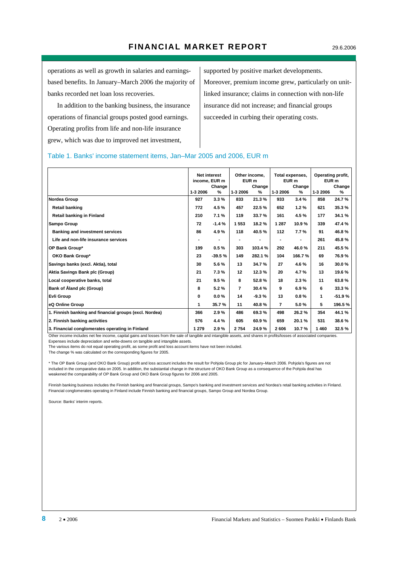operations as well as growth in salaries and earningsbased benefits. In January–March 2006 the majority of banks recorded net loan loss recoveries.

In addition to the banking business, the insurance operations of financial groups posted good earnings. Operating profits from life and non-life insurance grew, which was due to improved net investment,

supported by positive market developments. Moreover, premium income grew, particularly on unitlinked insurance; claims in connection with non-life insurance did not increase; and financial groups succeeded in curbing their operating costs.

#### Table 1. Banks' income statement items, Jan–Mar 2005 and 2006, EUR m

|                                                        | <b>Net interest</b><br>income, EUR m |          | Other income.<br>EUR <sub>m</sub> |         | Total expenses,<br>EUR <sub>m</sub> |        | Operating profit,<br>EUR m |          |
|--------------------------------------------------------|--------------------------------------|----------|-----------------------------------|---------|-------------------------------------|--------|----------------------------|----------|
|                                                        |                                      | Change   |                                   | Change  |                                     | Change |                            | Change   |
|                                                        | 1-3 2006                             | %        | 1-3 2006                          | %       | 1-3 2006                            | %      | 1-3 2006                   | %        |
| Nordea Group                                           | 927                                  | 3.3%     | 833                               | 21.3%   | 933                                 | 3.4%   | 858                        | 24.7%    |
| <b>Retail banking</b>                                  | 772                                  | 4.5%     | 457                               | 22.5%   | 652                                 | 1.2%   | 621                        | 35.3%    |
| <b>Retail banking in Finland</b>                       | 210                                  | 7.1%     | 119                               | 33.7%   | 161                                 | 4.5%   | 177                        | 34.1 %   |
| <b>Sampo Group</b>                                     | 72                                   | $-1.4%$  | 1553                              | 18.2%   | 1 2 8 7                             | 10.9%  | 339                        | 47.4%    |
| <b>Banking and investment services</b>                 | 86                                   | 4.9%     | 118                               | 40.5%   | 112                                 | 7.7%   | 91                         | 46.8%    |
| Life and non-life insurance services                   |                                      |          |                                   |         |                                     |        | 261                        | 45.8%    |
| OP Bank Group*                                         | 199                                  | 0.5%     | 303                               | 103.4 % | 292                                 | 46.0%  | 211                        | 45.5%    |
| OKO Bank Group*                                        | 23                                   | $-39.5%$ | 149                               | 282.1%  | 104                                 | 166.7% | 69                         | 76.9%    |
| Savings banks (excl. Aktia), total                     | 30                                   | 5.6%     | 13                                | 34.7%   | 27                                  | 4.6%   | 16                         | 30.0%    |
| Aktia Savings Bank plc (Group)                         | 21                                   | 7.3%     | 12                                | 12.3 %  | 20                                  | 4.7%   | 13                         | 19.6%    |
| Local cooperative banks, total                         | 21                                   | 9.5%     | 8                                 | 52.8%   | 18                                  | 2.3%   | 11                         | 63.8%    |
| Bank of Åland plc (Group)                              | 8                                    | 5.2%     | $\overline{7}$                    | 30.4%   | 9                                   | 6.9%   | 6                          | 33.3%    |
| <b>Evli Group</b>                                      | 0                                    | 0.0%     | 14                                | $-9.3%$ | 13                                  | 0.8%   | 1                          | $-51.9%$ |
| eQ Online Group                                        | 1                                    | 35.7%    | 11                                | 40.8%   | $\overline{7}$                      | 5.0%   | 5                          | 196.5%   |
| 1. Finnish banking and financial groups (excl. Nordea) | 366                                  | 2.9%     | 486                               | 69.3%   | 498                                 | 26.2%  | 354                        | 44.1%    |
| 2. Finnish banking activities                          | 576                                  | 4.4%     | 605                               | 60.9%   | 659                                 | 20.1%  | 531                        | 38.6%    |
| 3. Financial conglomerates operating in Finland        | 1 2 7 9                              | 2.9%     | 2754                              | 24.9%   | 2606                                | 10.7%  | 1460                       | 32.5%    |

Other income includes net fee income, capital gains and losses from the sale of tangible and intangible assets, and shares in profits/losses of associated companies. Expenses include depreciation and write-downs on tangible and intangible assets.

The various items do not equal operating profit, as some profit and loss account items have not been included.

The change % was calculated on the corresponding figures for 2005.

\* The OP Bank Group (and OKO Bank Group) profit and loss account includes the result for Pohjola Group plc for January–March 2006. Pohjola's figures are not included in the comparative data on 2005. In addition, the substantial change in the structure of OKO Bank Group as a consequence of the Pohjola deal has weakened the comparability of OP Bank Group and OKO Bank Group figures for 2006 and 2005.

Finnish banking business includes the Finnish banking and financial groups, Sampo's banking and investment services and Nordea's retail banking activities in Finland. Financial conglomerates operating in Finland include Finnish banking and financial groups, Sampo Group and Nordea Group.

Source: Banks' interim reports.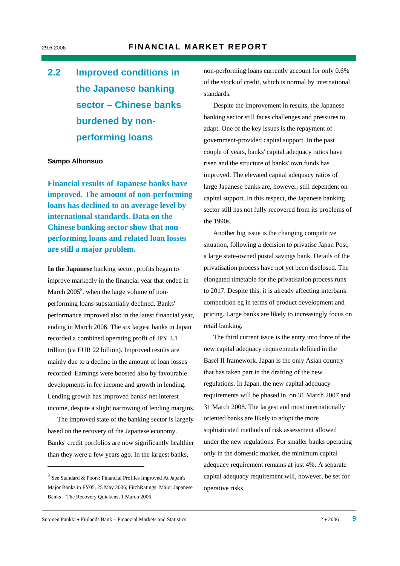## **2.2 Improved conditions in the Japanese banking sector – Chinese banks burdened by nonperforming loans**

#### **Sampo Alhonsuo**

**Financial results of Japanese banks have improved. The amount of non-performing loans has declined to an average level by international standards. Data on the Chinese banking sector show that nonperforming loans and related loan losses are still a major problem.** 

**In the Japanese** banking sector, profits began to improve markedly in the financial year that ended in March  $2005^8$ , when the large volume of nonperforming loans substantially declined. Banks' performance improved also in the latest financial year, ending in March 2006. The six largest banks in Japan recorded a combined operating profit of JPY 3.1 trillion (ca EUR 22 billion). Improved results are mainly due to a decline in the amount of loan losses recorded. Earnings were boosted also by favourable developments in fee income and growth in lending. Lending growth has improved banks' net interest income, despite a slight narrowing of lending margins.

The improved state of the banking sector is largely based on the recovery of the Japanese economy. Banks' credit portfolios are now significantly healthier than they were a few years ago. In the largest banks,

-

non-performing loans currently account for only 0.6% of the stock of credit, which is normal by international standards.

Despite the improvement in results, the Japanese banking sector still faces challenges and pressures to adapt. One of the key issues is the repayment of government-provided capital support. In the past couple of years, banks' capital adequacy ratios have risen and the structure of banks' own funds has improved. The elevated capital adequacy ratios of large Japanese banks are, however, still dependent on capital support. In this respect, the Japanese banking sector still has not fully recovered from its problems of the 1990s.

Another big issue is the changing competitive situation, following a decision to privatise Japan Post, a large state-owned postal savings bank. Details of the privatisation process have not yet been disclosed. The elongated timetable for the privatisation process runs to 2017. Despite this, it is already affecting interbank competition eg in terms of product development and pricing. Large banks are likely to increasingly focus on retail banking.

The third current issue is the entry into force of the new capital adequacy requirements defined in the Basel II framework. Japan is the only Asian country that has taken part in the drafting of the new regulations. In Japan, the new capital adequacy requirements will be phased in, on 31 March 2007 and 31 March 2008. The largest and most internationally oriented banks are likely to adopt the more sophisticated methods of risk assessment allowed under the new regulations. For smaller banks operating only in the domestic market, the minimum capital adequacy requirement remains at just 4%. A separate capital adequacy requirement will, however, be set for operative risks.

<sup>8</sup> See Standard & Poors: Financial Profiles Improved At Japan's Major Banks in FY05, 25 May 2006; FitchRatings: Major Japanese Banks – The Recovery Quickens, 1 March 2006.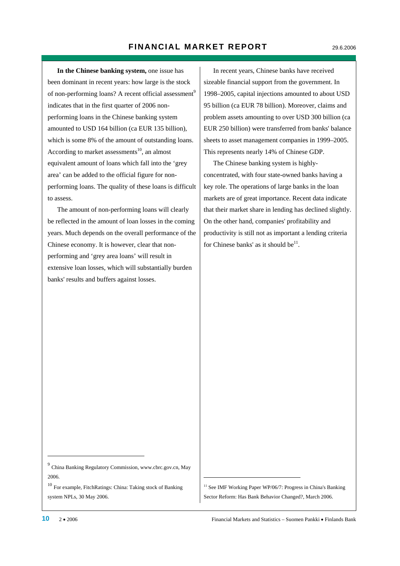**In the Chinese banking system,** one issue has been dominant in recent years: how large is the stock of non-performing loans? A recent official assessment<sup>9</sup> indicates that in the first quarter of 2006 nonperforming loans in the Chinese banking system amounted to USD 164 billion (ca EUR 135 billion), which is some 8% of the amount of outstanding loans. According to market assessments<sup>10</sup>, an almost equivalent amount of loans which fall into the 'grey area' can be added to the official figure for nonperforming loans. The quality of these loans is difficult to assess.

The amount of non-performing loans will clearly be reflected in the amount of loan losses in the coming years. Much depends on the overall performance of the Chinese economy. It is however, clear that nonperforming and 'grey area loans' will result in extensive loan losses, which will substantially burden banks' results and buffers against losses.

In recent years, Chinese banks have received sizeable financial support from the government. In 1998–2005, capital injections amounted to about USD 95 billion (ca EUR 78 billion). Moreover, claims and problem assets amounting to over USD 300 billion (ca EUR 250 billion) were transferred from banks' balance sheets to asset management companies in 1999–2005. This represents nearly 14% of Chinese GDP.

The Chinese banking system is highlyconcentrated, with four state-owned banks having a key role. The operations of large banks in the loan markets are of great importance. Recent data indicate that their market share in lending has declined slightly. On the other hand, companies' profitability and productivity is still not as important a lending criteria for Chinese banks' as it should be $^{11}$ .

<sup>11</sup> See IMF Working Paper WP/06/7: Progress in China's Banking Sector Reform: Has Bank Behavior Changed?, March 2006.

1

-

<sup>9</sup> China Banking Regulatory Commission, www.cbrc.gov.cn, May 2006.

<sup>10</sup> For example, FitchRatings: China: Taking stock of Banking system NPLs, 30 May 2006.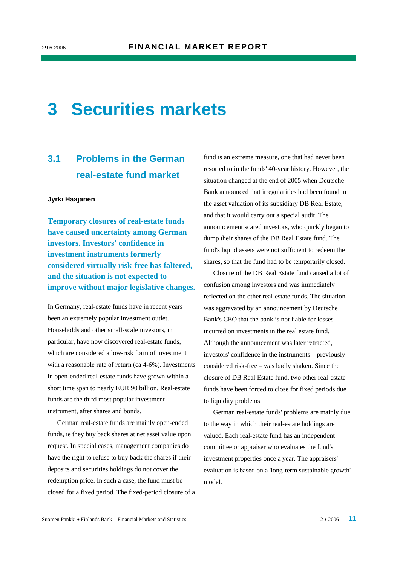## **3 Securities markets**

## **3.1 Problems in the German real-estate fund market**

#### **Jyrki Haajanen**

**Temporary closures of real-estate funds have caused uncertainty among German investors. Investors' confidence in investment instruments formerly considered virtually risk-free has faltered, and the situation is not expected to improve without major legislative changes.** 

In Germany, real-estate funds have in recent years been an extremely popular investment outlet. Households and other small-scale investors, in particular, have now discovered real-estate funds, which are considered a low-risk form of investment with a reasonable rate of return (ca 4-6%). Investments in open-ended real-estate funds have grown within a short time span to nearly EUR 90 billion. Real-estate funds are the third most popular investment instrument, after shares and bonds.

German real-estate funds are mainly open-ended funds, ie they buy back shares at net asset value upon request. In special cases, management companies do have the right to refuse to buy back the shares if their deposits and securities holdings do not cover the redemption price. In such a case, the fund must be closed for a fixed period. The fixed-period closure of a fund is an extreme measure, one that had never been resorted to in the funds' 40-year history. However, the situation changed at the end of 2005 when Deutsche Bank announced that irregularities had been found in the asset valuation of its subsidiary DB Real Estate, and that it would carry out a special audit. The announcement scared investors, who quickly began to dump their shares of the DB Real Estate fund. The fund's liquid assets were not sufficient to redeem the shares, so that the fund had to be temporarily closed.

Closure of the DB Real Estate fund caused a lot of confusion among investors and was immediately reflected on the other real-estate funds. The situation was aggravated by an announcement by Deutsche Bank's CEO that the bank is not liable for losses incurred on investments in the real estate fund. Although the announcement was later retracted, investors' confidence in the instruments – previously considered risk-free – was badly shaken. Since the closure of DB Real Estate fund, two other real-estate funds have been forced to close for fixed periods due to liquidity problems.

German real-estate funds' problems are mainly due to the way in which their real-estate holdings are valued. Each real-estate fund has an independent committee or appraiser who evaluates the fund's investment properties once a year. The appraisers' evaluation is based on a 'long-term sustainable growth' model.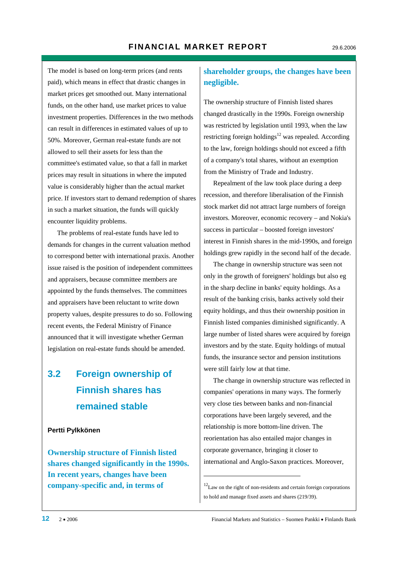The model is based on long-term prices (and rents paid), which means in effect that drastic changes in market prices get smoothed out. Many international funds, on the other hand, use market prices to value investment properties. Differences in the two methods can result in differences in estimated values of up to 50%. Moreover, German real-estate funds are not allowed to sell their assets for less than the committee's estimated value, so that a fall in market prices may result in situations in where the imputed value is considerably higher than the actual market price. If investors start to demand redemption of shares in such a market situation, the funds will quickly encounter liquidity problems.

The problems of real-estate funds have led to demands for changes in the current valuation method to correspond better with international praxis. Another issue raised is the position of independent committees and appraisers, because committee members are appointed by the funds themselves. The committees and appraisers have been reluctant to write down property values, despite pressures to do so. Following recent events, the Federal Ministry of Finance announced that it will investigate whether German legislation on real-estate funds should be amended.

## **3.2 Foreign ownership of Finnish shares has remained stable**

#### **Pertti Pylkkönen**

**Ownership structure of Finnish listed shares changed significantly in the 1990s. In recent years, changes have been company-specific and, in terms of** 

#### **shareholder groups, the changes have been negligible.**

The ownership structure of Finnish listed shares changed drastically in the 1990s. Foreign ownership was restricted by legislation until 1993, when the law restricting foreign holdings<sup>12</sup> was repealed. According to the law, foreign holdings should not exceed a fifth of a company's total shares, without an exemption from the Ministry of Trade and Industry.

Repealment of the law took place during a deep recession, and therefore liberalisation of the Finnish stock market did not attract large numbers of foreign investors. Moreover, economic recovery – and Nokia's success in particular – boosted foreign investors' interest in Finnish shares in the mid-1990s, and foreign holdings grew rapidly in the second half of the decade.

The change in ownership structure was seen not only in the growth of foreigners' holdings but also eg in the sharp decline in banks' equity holdings. As a result of the banking crisis, banks actively sold their equity holdings, and thus their ownership position in Finnish listed companies diminished significantly. A large number of listed shares were acquired by foreign investors and by the state. Equity holdings of mutual funds, the insurance sector and pension institutions were still fairly low at that time.

The change in ownership structure was reflected in companies' operations in many ways. The formerly very close ties between banks and non-financial corporations have been largely severed, and the relationship is more bottom-line driven. The reorientation has also entailed major changes in corporate governance, bringing it closer to international and Anglo-Saxon practices. Moreover,

1

<sup>12</sup>Law on the right of non-residents and certain foreign corporations to hold and manage fixed assets and shares (219/39).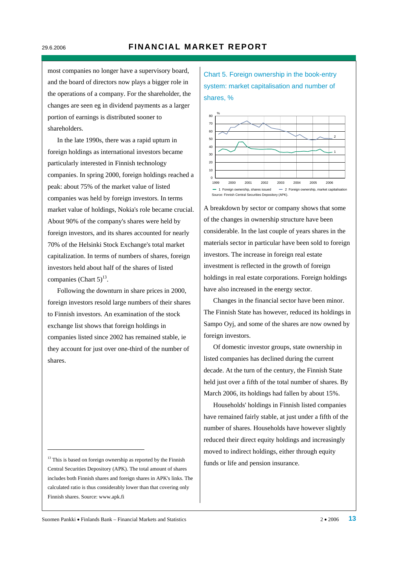most companies no longer have a supervisory board, and the board of directors now plays a bigger role in the operations of a company. For the shareholder, the changes are seen eg in dividend payments as a larger portion of earnings is distributed sooner to shareholders.

In the late 1990s, there was a rapid upturn in foreign holdings as international investors became particularly interested in Finnish technology companies. In spring 2000, foreign holdings reached a peak: about 75% of the market value of listed companies was held by foreign investors. In terms market value of holdings, Nokia's role became crucial. About 90% of the company's shares were held by foreign investors, and its shares accounted for nearly 70% of the Helsinki Stock Exchange's total market capitalization. In terms of numbers of shares, foreign investors held about half of the shares of listed companies (Chart  $5)^{13}$ .

Following the downturn in share prices in 2000, foreign investors resold large numbers of their shares to Finnish investors. An examination of the stock exchange list shows that foreign holdings in companies listed since 2002 has remained stable, ie they account for just over one-third of the number of shares.

1

Chart 5. Foreign ownership in the book-entry system: market capitalisation and number of shares, %



A breakdown by sector or company shows that some of the changes in ownership structure have been considerable. In the last couple of years shares in the materials sector in particular have been sold to foreign investors. The increase in foreign real estate investment is reflected in the growth of foreign holdings in real estate corporations. Foreign holdings have also increased in the energy sector.

Changes in the financial sector have been minor. The Finnish State has however, reduced its holdings in Sampo Oyj, and some of the shares are now owned by foreign investors.

Of domestic investor groups, state ownership in listed companies has declined during the current decade. At the turn of the century, the Finnish State held just over a fifth of the total number of shares. By March 2006, its holdings had fallen by about 15%.

Households' holdings in Finnish listed companies have remained fairly stable, at just under a fifth of the number of shares. Households have however slightly reduced their direct equity holdings and increasingly moved to indirect holdings, either through equity funds or life and pension insurance.

<sup>&</sup>lt;sup>13</sup> This is based on foreign ownership as reported by the Finnish Central Securities Depository (APK). The total amount of shares includes both Finnish shares and foreign shares in APK's links. The calculated ratio is thus considerably lower than that covering only Finnish shares. Source: www.apk.fi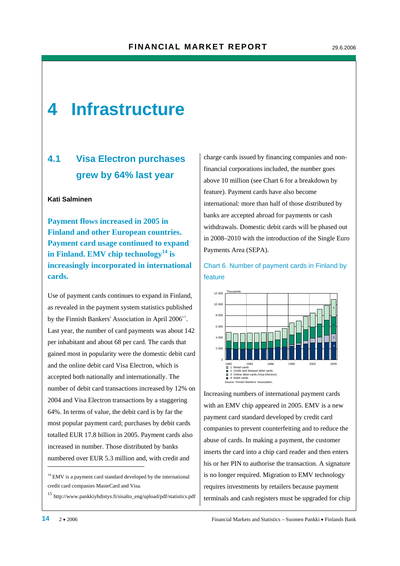## **4 Infrastructure**

## **4.1 Visa Electron purchases grew by 64% last year**

#### **Kati Salminen**

**Payment flows increased in 2005 in Finland and other European countries. Payment card usage continued to expand in Finland. EMV chip technology14 is increasingly incorporated in international cards.** 

Use of payment cards continues to expand in Finland, as revealed in the payment system statistics published by the Finnish Bankers' Association in April  $2006^{\text{15}}$ . Last year, the number of card payments was about 142 per inhabitant and about 68 per card. The cards that gained most in popularity were the domestic debit card and the online debit card Visa Electron, which is accepted both nationally and internationally. The number of debit card transactions increased by 12% on 2004 and Visa Electron transactions by a staggering 64%. In terms of value, the debit card is by far the most popular payment card; purchases by debit cards totalled EUR 17.8 billion in 2005. Payment cards also increased in number. Those distributed by banks numbered over EUR 5.3 million and, with credit and

<sup>15</sup> http://www.pankkiyhdistys.fi/sisalto\_eng/upload/pdf/statistics.pdf

charge cards issued by financing companies and nonfinancial corporations included, the number goes above 10 million (see Chart 6 for a breakdown by feature). Payment cards have also become international: more than half of those distributed by banks are accepted abroad for payments or cash withdrawals. Domestic debit cards will be phased out in 2008–2010 with the introduction of the Single Euro Payments Area (SEPA).

#### Chart 6. Number of payment cards in Finland by feature



Increasing numbers of international payment cards with an EMV chip appeared in 2005. EMV is a new payment card standard developed by credit card companies to prevent counterfeiting and to reduce the abuse of cards. In making a payment, the customer inserts the card into a chip card reader and then enters his or her PIN to authorise the transaction. A signature is no longer required. Migration to EMV technology requires investments by retailers because payment terminals and cash registers must be upgraded for chip

-

<sup>&</sup>lt;sup>14</sup> EMV is a payment card standard developed by the international credit card companies MasteCard and Visa.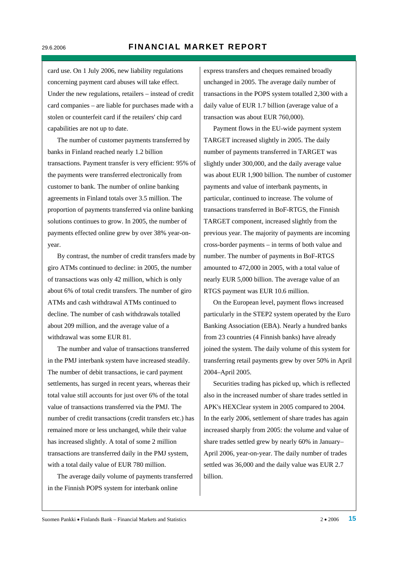card use. On 1 July 2006, new liability regulations concerning payment card abuses will take effect. Under the new regulations, retailers – instead of credit card companies – are liable for purchases made with a stolen or counterfeit card if the retailers' chip card capabilities are not up to date.

The number of customer payments transferred by banks in Finland reached nearly 1.2 billion transactions. Payment transfer is very efficient: 95% of the payments were transferred electronically from customer to bank. The number of online banking agreements in Finland totals over 3.5 million. The proportion of payments transferred via online banking solutions continues to grow. In 2005, the number of payments effected online grew by over 38% year-onyear.

By contrast, the number of credit transfers made by giro ATMs continued to decline: in 2005, the number of transactions was only 42 million, which is only about 6% of total credit transfers. The number of giro ATMs and cash withdrawal ATMs continued to decline. The number of cash withdrawals totalled about 209 million, and the average value of a withdrawal was some EUR 81.

The number and value of transactions transferred in the PMJ interbank system have increased steadily. The number of debit transactions, ie card payment settlements, has surged in recent years, whereas their total value still accounts for just over 6% of the total value of transactions transferred via the PMJ. The number of credit transactions (credit transfers etc.) has remained more or less unchanged, while their value has increased slightly. A total of some 2 million transactions are transferred daily in the PMJ system, with a total daily value of EUR 780 million.

The average daily volume of payments transferred in the Finnish POPS system for interbank online

express transfers and cheques remained broadly unchanged in 2005. The average daily number of transactions in the POPS system totalled 2,300 with a daily value of EUR 1.7 billion (average value of a transaction was about EUR 760,000).

Payment flows in the EU-wide payment system TARGET increased slightly in 2005. The daily number of payments transferred in TARGET was slightly under 300,000, and the daily average value was about EUR 1,900 billion. The number of customer payments and value of interbank payments, in particular, continued to increase. The volume of transactions transferred in BoF-RTGS, the Finnish TARGET component, increased slightly from the previous year. The majority of payments are incoming cross-border payments – in terms of both value and number. The number of payments in BoF-RTGS amounted to 472,000 in 2005, with a total value of nearly EUR 5,000 billion. The average value of an RTGS payment was EUR 10.6 million.

On the European level, payment flows increased particularly in the STEP2 system operated by the Euro Banking Association (EBA). Nearly a hundred banks from 23 countries (4 Finnish banks) have already joined the system. The daily volume of this system for transferring retail payments grew by over 50% in April 2004–April 2005.

Securities trading has picked up, which is reflected also in the increased number of share trades settled in APK's HEXClear system in 2005 compared to 2004. In the early 2006, settlement of share trades has again increased sharply from 2005: the volume and value of share trades settled grew by nearly 60% in January– April 2006, year-on-year. The daily number of trades settled was 36,000 and the daily value was EUR 2.7 billion.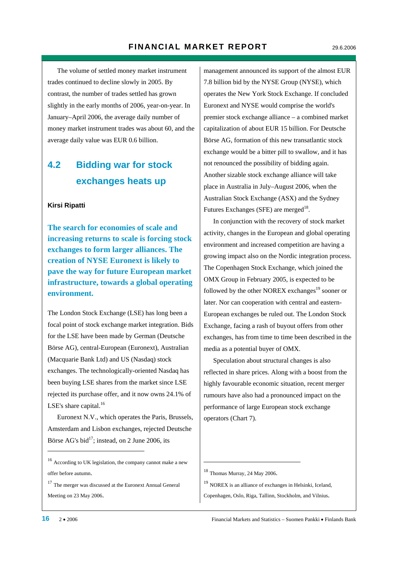The volume of settled money market instrument trades continued to decline slowly in 2005. By contrast, the number of trades settled has grown slightly in the early months of 2006, year-on-year. In January–April 2006, the average daily number of money market instrument trades was about 60, and the average daily value was EUR 0.6 billion.

## **4.2 Bidding war for stock exchanges heats up**

#### **Kirsi Ripatti**

**The search for economies of scale and increasing returns to scale is forcing stock exchanges to form larger alliances. The creation of NYSE Euronext is likely to pave the way for future European market infrastructure, towards a global operating environment.** 

The London Stock Exchange (LSE) has long been a focal point of stock exchange market integration. Bids for the LSE have been made by German (Deutsche Börse AG), central-European (Euronext), Australian (Macquarie Bank Ltd) and US (Nasdaq) stock exchanges. The technologically-oriented Nasdaq has been buying LSE shares from the market since LSE rejected its purchase offer, and it now owns 24.1% of LSE's share capital. $16$ 

Euronext N.V., which operates the Paris, Brussels, Amsterdam and Lisbon exchanges, rejected Deutsche Börse AG's bid $^{17}$ ; instead, on 2 June 2006, its

<sup>16</sup> According to UK legislation, the company cannot make a new offer before autumn.

<sup>17</sup> The merger was discussed at the Euronext Annual General Meeting on 23 May 2006.

management announced its support of the almost EUR 7.8 billion bid by the NYSE Group (NYSE), which operates the New York Stock Exchange. If concluded Euronext and NYSE would comprise the world's premier stock exchange alliance – a combined market capitalization of about EUR 15 billion. For Deutsche Börse AG, formation of this new transatlantic stock exchange would be a bitter pill to swallow, and it has not renounced the possibility of bidding again. Another sizable stock exchange alliance will take place in Australia in July–August 2006, when the Australian Stock Exchange (ASX) and the Sydney Futures Exchanges (SFE) are merged<sup>18</sup>.

In conjunction with the recovery of stock market activity, changes in the European and global operating environment and increased competition are having a growing impact also on the Nordic integration process. The Copenhagen Stock Exchange, which joined the OMX Group in February 2005, is expected to be followed by the other NOREX exchanges $19$  sooner or later. Nor can cooperation with central and eastern-European exchanges be ruled out. The London Stock Exchange, facing a rash of buyout offers from other exchanges, has from time to time been described in the media as a potential buyer of OMX.

Speculation about structural changes is also reflected in share prices. Along with a boost from the highly favourable economic situation, recent merger rumours have also had a pronounced impact on the performance of large European stock exchange operators (Chart 7).

.

<sup>19</sup> NOREX is an alliance of exchanges in Helsinki, Iceland, Copenhagen, Oslo, Riga, Tallinn, Stockholm, and Vilnius.

1

<sup>18</sup> Thomas Murray, 24 May 2006.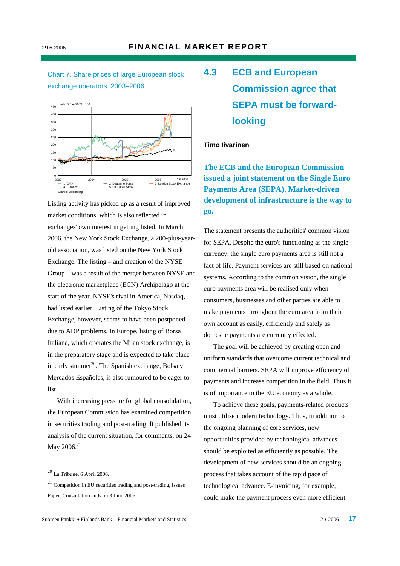

Listing activity has picked up as a result of improved market conditions, which is also reflected in exchanges' own interest in getting listed. In March 2006, the New York Stock Exchange, a 200-plus-yearold association, was listed on the New York Stock Exchange. The listing – and creation of the NYSE Group – was a result of the merger between NYSE and the electronic marketplace (ECN) Archipelago at the start of the year. NYSE's rival in America, Nasdaq, had listed earlier. Listing of the Tokyo Stock Exchange, however, seems to have been postponed due to ADP problems. In Europe, listing of Borsa Italiana, which operates the Milan stock exchange, is in the preparatory stage and is expected to take place in early summer<sup>20</sup>. The Spanish exchange, Bolsa y Mercados Españoles, is also rumoured to be eager to list.

With increasing pressure for global consolidation, the European Commission has examined competition in securities trading and post-trading. It published its analysis of the current situation, for comments, on 24 May 2006.<sup>21</sup>

-

## **4.3 ECB and European Commission agree that SEPA must be forwardlooking**

#### **Timo Iivarinen**

**The ECB and the European Commission issued a joint statement on the Single Euro Payments Area (SEPA). Market-driven development of infrastructure is the way to go.** 

The statement presents the authorities' common vision for SEPA. Despite the euro's functioning as the single currency, the single euro payments area is still not a fact of life. Payment services are still based on national systems. According to the common vision, the single euro payments area will be realised only when consumers, businesses and other parties are able to make payments throughout the euro area from their own account as easily, efficiently and safely as domestic payments are currently effected.

The goal will be achieved by creating open and uniform standards that overcome current technical and commercial barriers. SEPA will improve efficiency of payments and increase competition in the field. Thus it is of importance to the EU economy as a whole.

To achieve these goals, payments-related products must utilise modern technology. Thus, in addition to the ongoing planning of core services, new opportunities provided by technological advances should be exploited as efficiently as possible. The development of new services should be an ongoing process that takes account of the rapid pace of technological advance. E-invoicing, for example, could make the payment process even more efficient.

 $20$  La Tribune, 6 April 2006.

 $21$  Competition in EU securities trading and post-trading, Issues Paper. Consultation ends on 3 June 2006.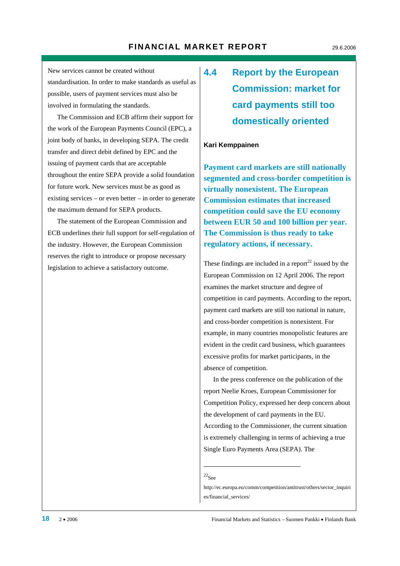New services cannot be created without standardisation. In order to make standards as useful as possible, users of payment services must also be involved in formulating the standards.

The Commission and ECB affirm their support for the work of the European Payments Council (EPC), a joint body of banks, in developing SEPA. The credit transfer and direct debit defined by EPC and the issuing of payment cards that are acceptable throughout the entire SEPA provide a solid foundation for future work. New services must be as good as existing services – or even better – in order to generate the maximum demand for SEPA products.

The statement of the European Commission and ECB underlines their full support for self-regulation of the industry. However, the European Commission reserves the right to introduce or propose necessary legislation to achieve a satisfactory outcome.

## **4.4 Report by the European Commission: market for card payments still too domestically oriented**

#### **Kari Kemppainen**

**Payment card markets are still nationally segmented and cross-border competition is virtually nonexistent. The European Commission estimates that increased competition could save the EU economy between EUR 50 and 100 billion per year. The Commission is thus ready to take regulatory actions, if necessary.** 

These findings are included in a report<sup>22</sup> issued by the European Commission on 12 April 2006. The report examines the market structure and degree of competition in card payments. According to the report, payment card markets are still too national in nature, and cross-border competition is nonexistent. For example, in many countries monopolistic features are evident in the credit card business, which guarantees excessive profits for market participants, in the absence of competition.

In the press conference on the publication of the report Neelie Kroes, European Commissioner for Competition Policy, expressed her deep concern about the development of card payments in the EU. According to the Commissioner, the current situation is extremely challenging in terms of achieving a true Single Euro Payments Area (SEPA). The

#### $^{22}$ See

1

http://ec.europa.eu/comm/competition/antitrust/others/sector\_inquiri es/financial\_services/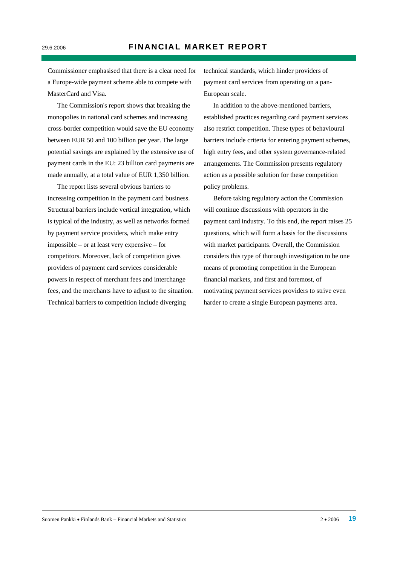Commissioner emphasised that there is a clear need for a Europe-wide payment scheme able to compete with MasterCard and Visa.

The Commission's report shows that breaking the monopolies in national card schemes and increasing cross-border competition would save the EU economy between EUR 50 and 100 billion per year. The large potential savings are explained by the extensive use of payment cards in the EU: 23 billion card payments are made annually, at a total value of EUR 1,350 billion.

The report lists several obvious barriers to increasing competition in the payment card business. Structural barriers include vertical integration, which is typical of the industry, as well as networks formed by payment service providers, which make entry impossible – or at least very expensive – for competitors. Moreover, lack of competition gives providers of payment card services considerable powers in respect of merchant fees and interchange fees, and the merchants have to adjust to the situation. Technical barriers to competition include diverging

technical standards, which hinder providers of payment card services from operating on a pan-European scale.

In addition to the above-mentioned barriers, established practices regarding card payment services also restrict competition. These types of behavioural barriers include criteria for entering payment schemes, high entry fees, and other system governance-related arrangements. The Commission presents regulatory action as a possible solution for these competition policy problems.

Before taking regulatory action the Commission will continue discussions with operators in the payment card industry. To this end, the report raises 25 questions, which will form a basis for the discussions with market participants. Overall, the Commission considers this type of thorough investigation to be one means of promoting competition in the European financial markets, and first and foremost, of motivating payment services providers to strive even harder to create a single European payments area.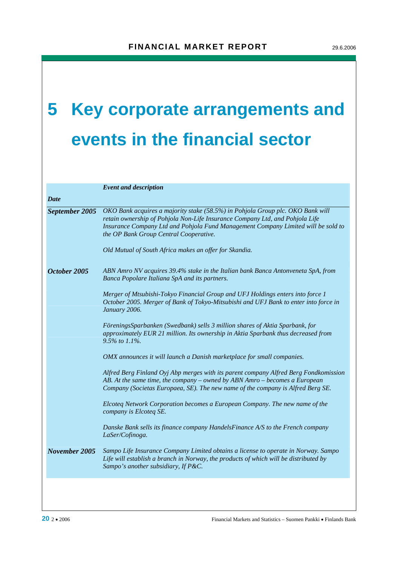# **5 Key corporate arrangements and events in the financial sector**

|                | <b>Event and description</b>                                                                                                                                                                                                                                                                                                                            |
|----------------|---------------------------------------------------------------------------------------------------------------------------------------------------------------------------------------------------------------------------------------------------------------------------------------------------------------------------------------------------------|
| <b>Date</b>    |                                                                                                                                                                                                                                                                                                                                                         |
| September 2005 | OKO Bank acquires a majority stake (58.5%) in Pohjola Group plc. OKO Bank will<br>retain ownership of Pohjola Non-Life Insurance Company Ltd, and Pohjola Life<br>Insurance Company Ltd and Pohjola Fund Management Company Limited will be sold to<br>the OP Bank Group Central Cooperative.<br>Old Mutual of South Africa makes an offer for Skandia. |
| October 2005   | ABN Amro NV acquires 39.4% stake in the Italian bank Banca Antonveneta SpA, from<br>Banca Popolare Italiana SpA and its partners.                                                                                                                                                                                                                       |
|                | Merger of Mtsubishi-Tokyo Financial Group and UFJ Holdings enters into force 1<br>October 2005. Merger of Bank of Tokyo-Mitsubishi and UFJ Bank to enter into force in<br>January 2006.                                                                                                                                                                 |
|                | FöreningsSparbanken (Swedbank) sells 3 million shares of Aktia Sparbank, for<br>approximately EUR 21 million. Its ownership in Aktia Sparbank thus decreased from<br>9.5% to $1.1\%$ .                                                                                                                                                                  |
|                | OMX announces it will launch a Danish marketplace for small companies.                                                                                                                                                                                                                                                                                  |
|                | Alfred Berg Finland Oyj Abp merges with its parent company Alfred Berg Fondkomission<br>AB. At the same time, the company - owned by ABN Amro - becomes a European<br>Company (Societas Europaea, SE). The new name of the company is Alfred Berg SE.                                                                                                   |
|                | Elcoteg Network Corporation becomes a European Company. The new name of the<br>company is Elcoteq SE.                                                                                                                                                                                                                                                   |
|                | Danske Bank sells its finance company HandelsFinance A/S to the French company<br>LaSer/Cofinoga.                                                                                                                                                                                                                                                       |
| November 2005  | Sampo Life Insurance Company Limited obtains a license to operate in Norway. Sampo<br>Life will establish a branch in Norway, the products of which will be distributed by<br>Sampo's another subsidiary, If P&C.                                                                                                                                       |
|                |                                                                                                                                                                                                                                                                                                                                                         |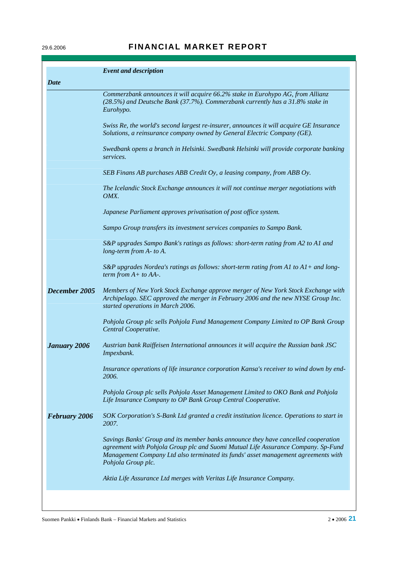### 29.6.2006 **FINANCIAL MARKET REPORT**

|                      | <b>Event and description</b>                                                                                                                                                                                                                                                        |
|----------------------|-------------------------------------------------------------------------------------------------------------------------------------------------------------------------------------------------------------------------------------------------------------------------------------|
| <b>Date</b>          |                                                                                                                                                                                                                                                                                     |
|                      | Commerzbank announces it will acquire 66.2% stake in Eurohypo AG, from Allianz<br>(28.5%) and Deutsche Bank (37.7%). Commerzbank currently has a 31.8% stake in<br>Eurohypo.                                                                                                        |
|                      | Swiss Re, the world's second largest re-insurer, announces it will acquire GE Insurance<br>Solutions, a reinsurance company owned by General Electric Company (GE).                                                                                                                 |
|                      | Swedbank opens a branch in Helsinki. Swedbank Helsinki will provide corporate banking<br>services.                                                                                                                                                                                  |
|                      | SEB Finans AB purchases ABB Credit Oy, a leasing company, from ABB Oy.                                                                                                                                                                                                              |
|                      | The Icelandic Stock Exchange announces it will not continue merger negotiations with<br>OMX.                                                                                                                                                                                        |
|                      | Japanese Parliament approves privatisation of post office system.                                                                                                                                                                                                                   |
|                      | Sampo Group transfers its investment services companies to Sampo Bank.                                                                                                                                                                                                              |
|                      | S&P upgrades Sampo Bank's ratings as follows: short-term rating from A2 to A1 and<br>long-term from A- to A.                                                                                                                                                                        |
|                      | S&P upgrades Nordea's ratings as follows: short-term rating from A1 to $AI$ + and long-<br>term from $A+$ to $AA-$ .                                                                                                                                                                |
| December 2005        | Members of New York Stock Exchange approve merger of New York Stock Exchange with<br>Archipelago. SEC approved the merger in February 2006 and the new NYSE Group Inc.<br>started operations in March 2006.                                                                         |
|                      | Pohjola Group plc sells Pohjola Fund Management Company Limited to OP Bank Group<br>Central Cooperative.                                                                                                                                                                            |
| <b>January 2006</b>  | Austrian bank Raiffeisen International announces it will acquire the Russian bank JSC<br>Impexbank.                                                                                                                                                                                 |
|                      | Insurance operations of life insurance corporation Kansa's receiver to wind down by end-<br>2006.                                                                                                                                                                                   |
|                      | Pohjola Group plc sells Pohjola Asset Management Limited to OKO Bank and Pohjola<br>Life Insurance Company to OP Bank Group Central Cooperative.                                                                                                                                    |
| <b>February 2006</b> | SOK Corporation's S-Bank Ltd granted a credit institution licence. Operations to start in<br>2007.                                                                                                                                                                                  |
|                      | Savings Banks' Group and its member banks announce they have cancelled cooperation<br>agreement with Pohjola Group plc and Suomi Mutual Life Assurance Company. Sp-Fund<br>Management Company Ltd also terminated its funds' asset management agreements with<br>Pohjola Group plc. |
|                      | Aktia Life Assurance Ltd merges with Veritas Life Insurance Company.                                                                                                                                                                                                                |
|                      |                                                                                                                                                                                                                                                                                     |